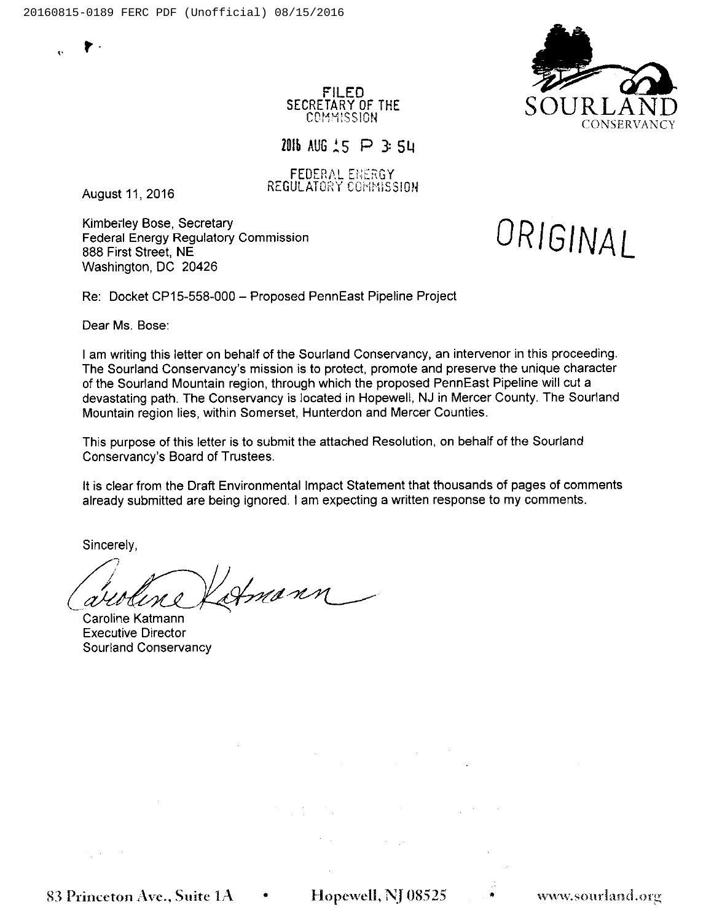

FILED SECRETARY OF THE COMMISSION

2016 AUG  $15$  P 3: 54

**FEDERAL ENERGY** August 11, 2016 REGULATORY COMMISSION

Kimberley Bose, Secretary Federal Energy Regulatory Commission 888 First Street, NE Washington, DC 20426

ORIGINAL

Re: Docket CP15-558-000 —Proposed PennEast Pipeline Project

Dear Ms. Bose

<sup>I</sup> am writing this letter on behalf of the Sourland Conservancy, an intervenor in this proceeding. The Sourland Conservancy's mission is to protect, promote and preserve the unique character of the Sourland Mountain region, through which the proposed PennEast Pipeline will cut a devastating path. The Conservancy is located in Hopewell, NJ in Mercer County. The Sourland Mountain region lies, within Somerset, Hunterdon and Mercer Counties.

This purpose of this letter is to submit the attached Resolution, on behalf of the Sourland Conservancy's Board of Trustees.

It is clear from the Draft Environmental Impact Statement that thousands of pages of comments already submitted are being ignored. <sup>I</sup> am expecting a written response to my comments.

Sincerely,

mann Ú.

Caroline Katmann Executive Director Sourland Conservancy

83 Princeton Ave., Suite  $1A \cdot \cdot \cdot$  Hopewell, NJ 08525  $\cdot \cdot \cdot$  www.sourland.org

经实验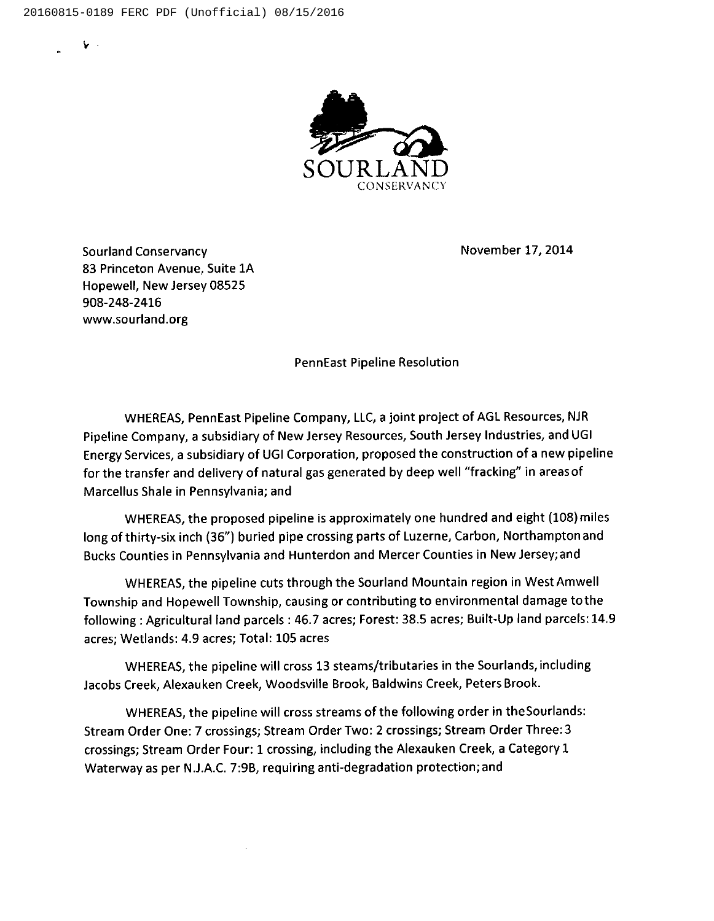$\mathbf{r}$ 



November 17, 2014

Sourland Conservancy 83 Princeton Avenue, Suite 1A Hopewell, New Jersey 08525 908-248-2416 www.sourland.org

PennEast Pipeline Resolution

WHEREAS, PennEast Pipeline Company, LLC, a joint project of AGL Resources, NJR Pipeline Company, a subsidiary of New Jersey Resources, South Jersey Industries, and UGI Energy Services, <sup>a</sup> subsidiary of UGI Corporation, proposed the construction of a new pipeline for the transfer and delivery of natural gas generated by deep well "fracking" in areas of Marcellus Shale in Pennsylvania; and

WHEREAS, the proposed pipeline is approximately one hundred and eight (108) miles long of thirty-six inch (36") buried pipe crossing parts of Luzerne, Carbon, Northampton and Bucks Counties in Pennsylvania and Hunterdon and Mercer Counties in New Jersey;and

WHEREAS, the pipeline cuts through the Sourland Mountain region in West Amwell Township and Hopewell Township, causing or contributing to environmental damage tothe following: Agricultural land parcels: 46.7 acres; Forest: 38.5 acres; Built-Up land parcels: 14.9 acres; Wetlands: 4.9 acres; Total: 105 acres

WHEREAS, the pipeline will cross 13 steams/tributaries in the Sourlands, including Jacobs Creek, Alexauken Creek, Woodsville Brook, Baldwins Creek, Peters Brook.

WHEREAS, the pipeline will cross streams of the following order in the Sourlands: Stream Order One: 7 crossings; Stream Order Two: 2 crossings; Stream Order Three: 3 crossings; Stream Order Four: 1 crossing, including the Alexauken Creek, a Category 1 Waterway as per NLLA.C. 7:98, requiring anti-degradation protection; and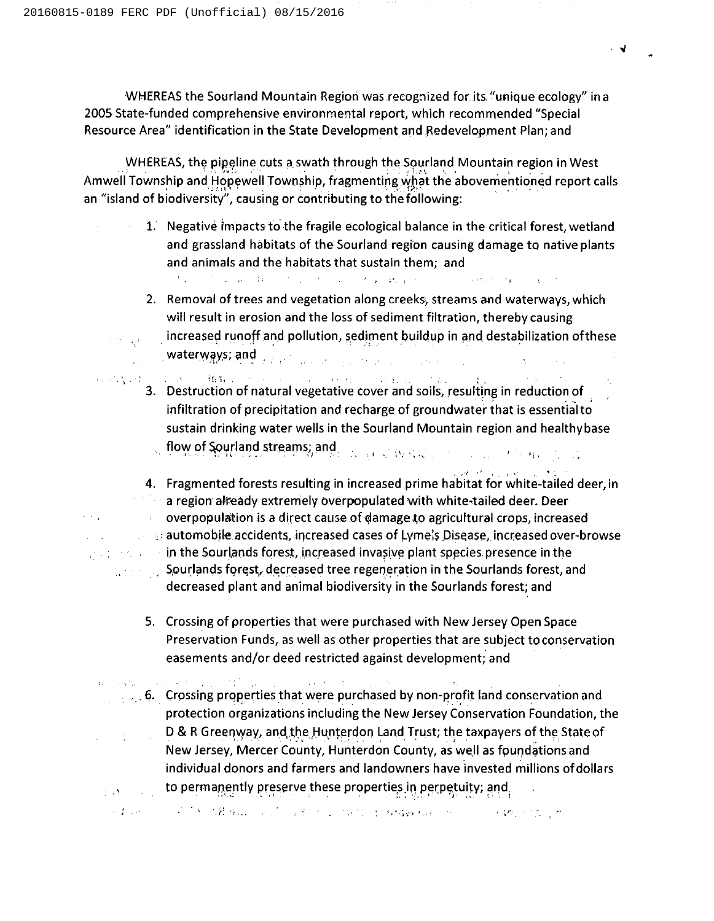$\gamma \propto \gamma_{\rm eff}$ 

e kapital

WHEREAS the Sourland Mountain Region was recognized for its, "unique ecology" in a 2005 State-funded comprehensive environmental report, which recommended "Special Resource Area" identification in the State Development and,Redevelopment Plan; and

WHEREAS, the pipeline cuts a swath through the Sourland Mountain region in West Amwell Township and Hopewell Township, fragmenting what the abovementioned report calls an "island of biodiversity", causing or contributing to the following:

- 1. Negative impacts to the fragile ecological balance in the critical forest, wetland and grassland habitats of the Sourland regfon causing damage to native plants and animals and the habitats that sustain them; and the control of the control of the control of the pro-Contractor of process
	- 2. Removal of trees and vegetation along creeks, streams and waterways, which will result in erosion and the loss of sediment filtration, thereby causing increased runoff and pollution, sediment buildup in and destabilization ofthese waterwgys; and, .
	- 3. Destruction of natural vegetative cover and soils, resulting in reduction of  $\{x_i\}_{i=1}^n$ infiltration of precipitation and recharge of groundwater that is essentialto sustain drinking water wells in the Sourland Mountain region and healthy base flow of Sourland streams; and 12 SCV 转载镜: 2010 元/ 12 MA 指示 2011
- 4. Fragmented forests resulting in increased prime habitat for white-tailed deer, in a region already extremely overpopulated with white-tailed deer. Deer overpopulation is a direct cause of damage to agricultural crops, increased  $\sim 10^{-11}$  $\therefore$  automobile accidents, increased cases of Lymels Disease, increased over-browse in the Sourlands forest, increased invasive plant species presence in the 计算法检测器 Sourlands forest, decreased tree regeneration in the Sourlands forest, and decreased plant and animal biodiversity in the Sourlands forest; and
	- S. Crossing of properties that were purchased with New Jersey Open Space Preservation Funds, as well as other properties that are subject toconservation easements and/or deed restricted against development; and

.,6. Crossing properties that were purchased by non-profit land conservation and protection organizations including the New Jersey Conservation Foundation, the D & R Greenway, and the Hunterdon Land Trust; the taxpayers of the State of New Jersey, Mercer County, Hunterdon County, as well as fpundations and individual donors and farmers and landowners have invested millions of dollars to permanently preserve these properties in perpetuity; and

的复数形式 人名英格兰人姓氏科尔的变体 医单位的 医神经性 医神经静脉 化硫化合物 人名英格兰人姓氏克里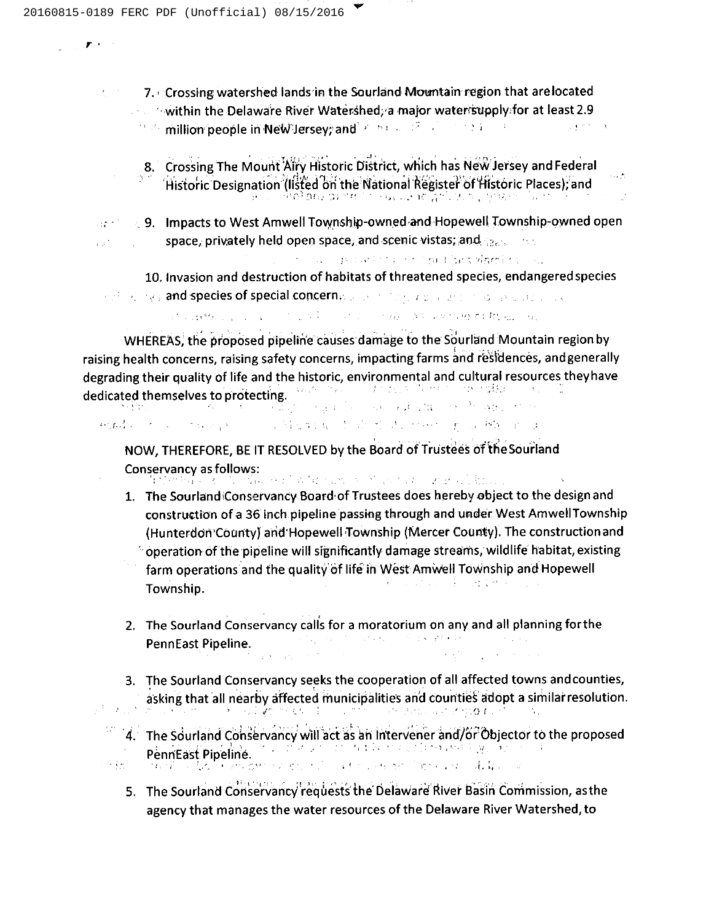$\mathbf{F}^{(n)}$  and

7. Crossing watershed lands in the Sourland Mountain region that arelocated  $\mathbf{r} = \left\langle \mathbf{r} \right\rangle$ 'ithin the Delaware River Waterghed, <sup>a</sup> major waterrsupply:for at least 2.9 million people in NeW Jersey; and 2000 and 2000 and 2000 and 2000

- 8. Crossing The Mount Aliry Historic District, which has New Jersey and Federa Historic Designation (listed on the National Register of Historic Places), and
- $\text{Per}^* \rightarrow 9$ . Impacts to West Amwell Township-owned and Hopewell Township-owned open space, privately held open space, and scenic vistas; and  $_{\text{Qc}}$ , and  $1.37 - 1.1$ 
	- of the concentration that he signification 10. Invasion and destruction of habitats of threatened species, endangered species
	- , and  $\gamma$  species of special concerns is a statistic and and special successive

and detection of a state of the state of the state and the state of the state

WHEREAS, the proposed pipeline causes damage to the Sourland Mountain region by raising health concerns, raising safety concerns, impacting farms and residences, andgeneral degrading their quality of life and the historic, environmental and cultural resources they have dedicated themselves to protecting. the experience of a phashed one of space of the

 $\{\{\xi_{\alpha}^{\dagger}f_{\alpha\beta}^{\dagger}\}_{\alpha\beta}^{\dagger}=\{\xi_{\alpha}^{\dagger}f_{\alpha\beta}^{\dagger}\}_{\alpha\beta}^{\dagger}=\{\xi_{\alpha}^{\dagger}f_{\alpha\beta}^{\dagger}\}_{\alpha\beta}^{\dagger}=\{\xi_{\alpha}^{\dagger}f_{\alpha\beta}^{\dagger}\}_{\alpha\beta}^{\dagger}=\{\xi_{\alpha}^{\dagger}f_{\alpha\beta}^{\dagger}\}_{\alpha\beta}^{\dagger}=\{\xi_{\alpha}^{\dagger}f_{\alpha\beta}^{\dagger}\}_{\alpha\beta}^{\dagger}=\{\xi_{\alpha}^{\$ The Machine Control of the project of the Book and a

NOW, THEREFORE, BE IT RESOLVED by the Board of Trustees o'f the Sourland Conservancy as follows:<br>The conservancy of the conservation for the conservation of the conservation of

生命 こくしじ

- 1. The Sourland Conservancy Board of Trustees does hereby object to the design and construrtion of a 36 inch pipeline passing through and under West AmwellTownship (Hunterdon'County) arid'Hopewell Township (IVIercer County). The construction and  $\sim$  operation of the pipeline will significantly damage streams, wildlife habitat, existing farm operations and the quality of life in West Amwell Township and Hopewell せいようしょう 全て 近くせず Township.
- 2. The Sourland Conservancy calls for a moratorium on any and all planning for the PennFast Pineline PennEast Pipeline.
- 3. The Sourland Conservancy seeks the cooperation of all affected towns andcounties, asking that all nearby affected municipalities and counties adopt a similar resolution. of the second second  $\delta$  is the second second second second second second second second second second second second second second second second second second second second second second second second second second second
- 4. The Sourland Conservancy will act as an intervener and/or Objector to the proposed Penn'East Pipeline.<br>Penn'East Pipeline.<br>Penn' East Pipeline.  $\sim 10^6$ 
	- 5. The Sourland Conservancy requests the Delaware River Basin Commission, as the agency that manages the water resources of the Delaware River Watershed, to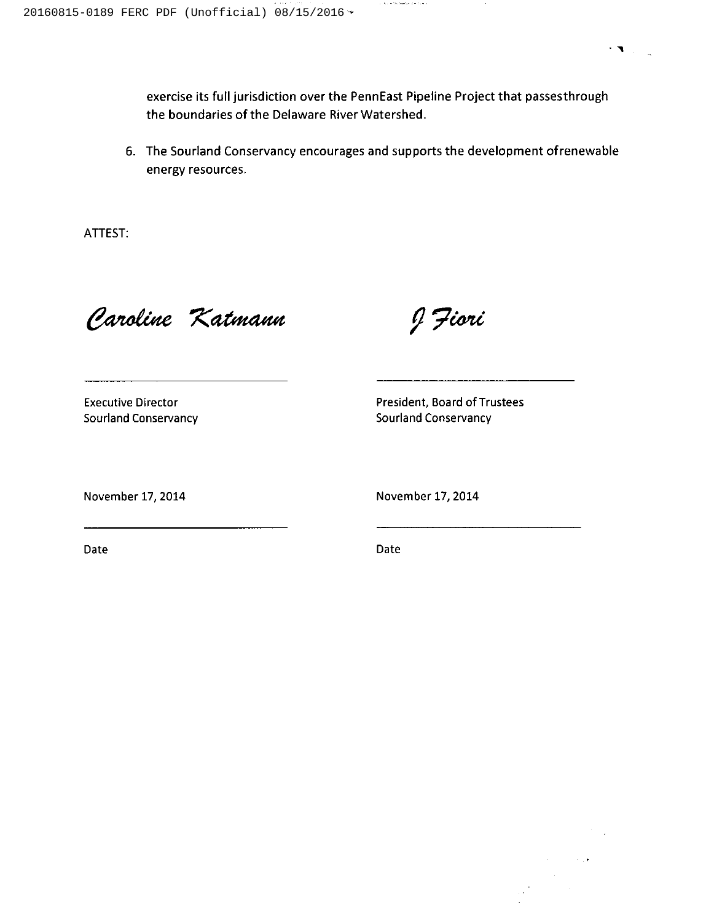exercise its full jurisdiction over the PennEast Pipeline Project that passesthrough the boundaries of the Delaware River Watershed.

i in a thampton province

6. The Sourland Conservancy encourages and supports the development ofrenewable energy resources.

ATTEST:

Caroline Katmann

J Jiori

Executive Director Sourland Conservancy President, Board of Trustees Sourland Conservancy

November 17, 2014 November 17, 2014

Date Date

 $\sim$  1.4

 $\sim$